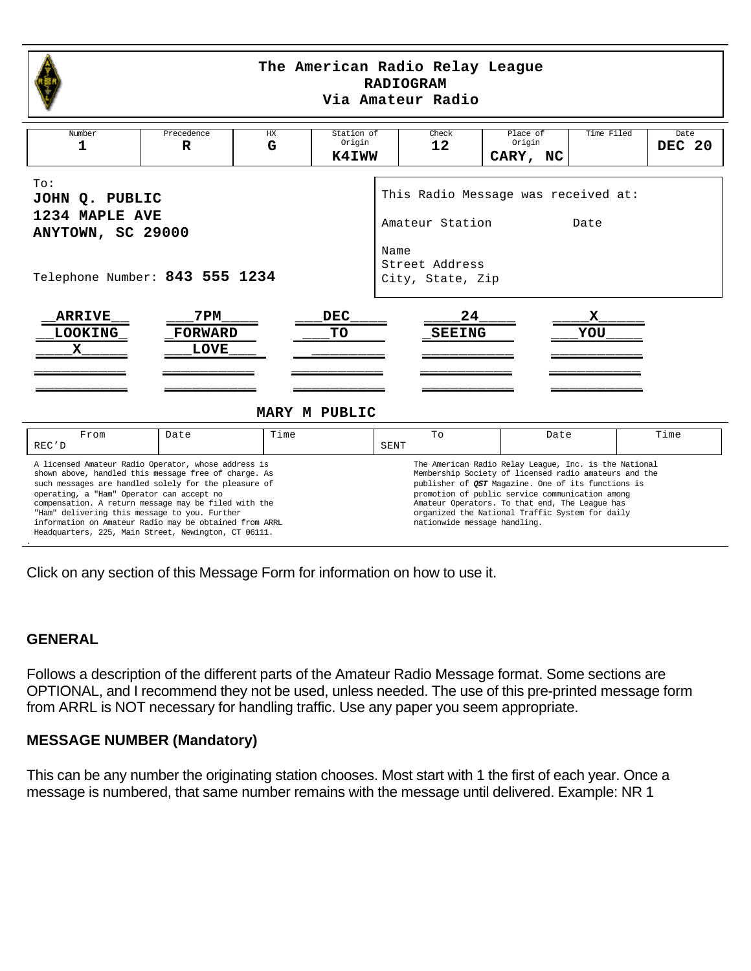<span id="page-0-0"></span>

#### **The American Radio Relay League RADIOGRAM Via Amateur Radio**

| Number<br>1                                                                                                                                                                                                                                                                                                                                                                                                                                                                                                                                                                                                                                                                                                                                                                                                 | Precedence<br>R                       | HX<br>G | Station of<br>Origin<br>K4IWW     | Check<br>12                                                                                                  | Place of<br>Origin<br>CARY, NC | Time Filed | Date<br><b>DEC 20</b> |
|-------------------------------------------------------------------------------------------------------------------------------------------------------------------------------------------------------------------------------------------------------------------------------------------------------------------------------------------------------------------------------------------------------------------------------------------------------------------------------------------------------------------------------------------------------------------------------------------------------------------------------------------------------------------------------------------------------------------------------------------------------------------------------------------------------------|---------------------------------------|---------|-----------------------------------|--------------------------------------------------------------------------------------------------------------|--------------------------------|------------|-----------------------|
| To:<br>JOHN Q. PUBLIC<br>1234 MAPLE AVE<br>ANYTOWN, SC 29000<br>Telephone Number: 843 555 1234                                                                                                                                                                                                                                                                                                                                                                                                                                                                                                                                                                                                                                                                                                              |                                       |         |                                   | This Radio Message was received at:<br>Amateur Station<br>Date<br>Name<br>Street Address<br>City, State, Zip |                                |            |                       |
| <b>ARRIVE</b><br><b>LOOKING</b><br>x                                                                                                                                                                                                                                                                                                                                                                                                                                                                                                                                                                                                                                                                                                                                                                        | 7 PM<br><b>FORWARD</b><br><b>LOVE</b> |         | <b>DEC</b><br>TO<br>MARY M PUBLIC | 24<br><b>SEEING</b>                                                                                          |                                | x<br>YOU   |                       |
| From<br>REC'D                                                                                                                                                                                                                                                                                                                                                                                                                                                                                                                                                                                                                                                                                                                                                                                               | Date                                  | Time    |                                   | To<br>SENT                                                                                                   | Date                           |            | Time                  |
| A licensed Amateur Radio Operator, whose address is<br>The American Radio Relay League, Inc. is the National<br>shown above, handled this message free of charge. As<br>Membership Society of licensed radio amateurs and the<br>such messages are handled solely for the pleasure of<br>publisher of QST Magazine. One of its functions is<br>promotion of public service communication among<br>operating, a "Ham" Operator can accept no<br>compensation. A return message may be filed with the<br>Amateur Operators. To that end, The League has<br>"Ham" delivering this message to you. Further<br>organized the National Traffic System for daily<br>information on Amateur Radio may be obtained from ARRL<br>nationwide message handling.<br>Headquarters, 225, Main Street, Newington, CT 06111. |                                       |         |                                   |                                                                                                              |                                |            |                       |

Click on any section of this Message Form for information on how to use it.

# **GENERAL**

Follows a description of the different parts of the Amateur Radio Message format. Some sections are OPTIONAL, and I recommend they not be used, unless needed. The use of this pre-printed message form from ARRL is NOT necessary for handling traffic. Use any paper you seem appropriate.

### **MESSAGE NUMBER (Mandatory)**

This can be any number the originating station chooses. Most start with 1 the first of each year. Once a message is numbered, that same number remains with the message until delivered. Example: NR 1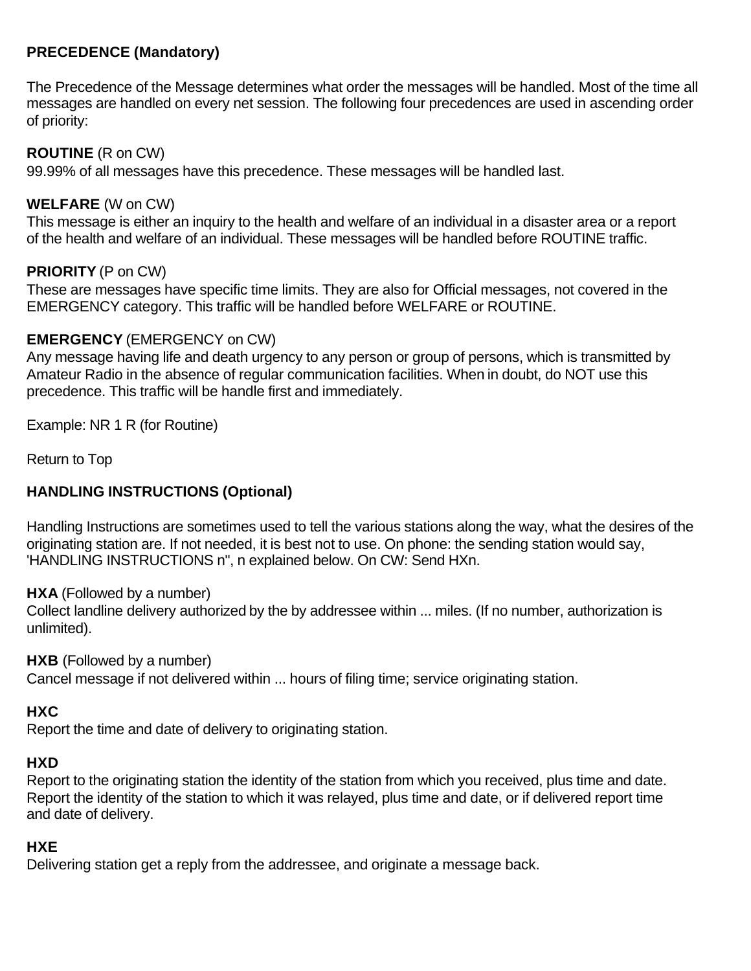# <span id="page-1-0"></span>**PRECEDENCE (Mandatory)**

The Precedence of the Message determines what order the messages will be handled. Most of the time all messages are handled on every net session. The following four precedences are used in ascending order of priority:

### **ROUTINE** (R on CW)

99.99% of all messages have this precedence. These messages will be handled last.

### **WELFARE** (W on CW)

This message is either an inquiry to the health and welfare of an individual in a disaster area or a report of the health and welfare of an individual. These messages will be handled before ROUTINE traffic.

### **PRIORITY** (P on CW)

These are messages have specific time limits. They are also for Official messages, not covered in the EMERGENCY category. This traffic will be handled before WELFARE or ROUTINE.

### **EMERGENCY** (EMERGENCY on CW)

Any message having life and death urgency to any person or group of persons, which is transmitted by Amateur Radio in the absence of regular communication facilities. When in doubt, do NOT use this precedence. This traffic will be handle first and immediately.

Example: NR 1 R (for Routine)

[Return to Top](#page-0-0)

# **HANDLING INSTRUCTIONS (Optional)**

Handling Instructions are sometimes used to tell the various stations along the way, what the desires of the originating station are. If not needed, it is best not to use. On phone: the sending station would say, 'HANDLING INSTRUCTIONS n", n explained below. On CW: Send HXn.

**HXA** (Followed by a number)

Collect landline delivery authorized by the by addressee within ... miles. (If no number, authorization is unlimited).

**HXB** (Followed by a number)

Cancel message if not delivered within ... hours of filing time; service originating station.

### **HXC**

Report the time and date of delivery to originating station.

### **HXD**

Report to the originating station the identity of the station from which you received, plus time and date. Report the identity of the station to which it was relayed, plus time and date, or if delivered report time and date of delivery.

### **HXE**

Delivering station get a reply from the addressee, and originate a message back.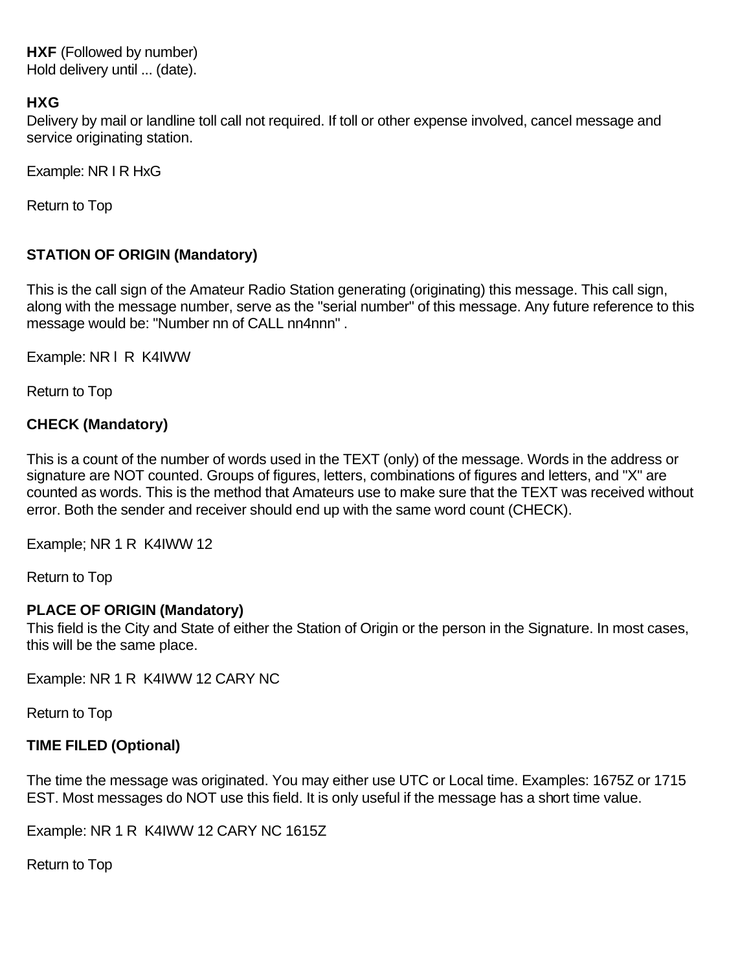<span id="page-2-0"></span>**HXF** (Followed by number) Hold delivery until ... (date).

### **HXG**

Delivery by mail or landline toll call not required. If toll or other expense involved, cancel message and service originating station.

Example: NR I R HxG

[Return to Top](#page-0-0)

# **STATION OF ORIGIN (Mandatory)**

This is the call sign of the Amateur Radio Station generating (originating) this message. This call sign, along with the message number, serve as the "serial number" of this message. Any future reference to this message would be: "Number nn of CALL nn4nnn" .

Example: NR l R K4IWW

[Return to Top](#page-0-0)

# **CHECK (Mandatory)**

This is a count of the number of words used in the TEXT (only) of the message. Words in the address or signature are NOT counted. Groups of figures, letters, combinations of figures and letters, and "X" are counted as words. This is the method that Amateurs use to make sure that the TEXT was received without error. Both the sender and receiver should end up with the same word count (CHECK).

Example; NR 1 R K4IWW 12

[Return to Top](#page-0-0)

### **PLACE OF ORIGIN (Mandatory)**

This field is the City and State of either the Station of Origin or the person in the Signature. In most cases, this will be the same place.

Example: NR 1 R K4IWW 12 CARY NC

[Return to Top](#page-0-0)

# **TIME FILED (Optional)**

The time the message was originated. You may either use UTC or Local time. Examples: 1675Z or 1715 EST. Most messages do NOT use this field. It is only useful if the message has a short time value.

Example: NR 1 R K4IWW 12 CARY NC 1615Z

[Return to Top](#page-0-0)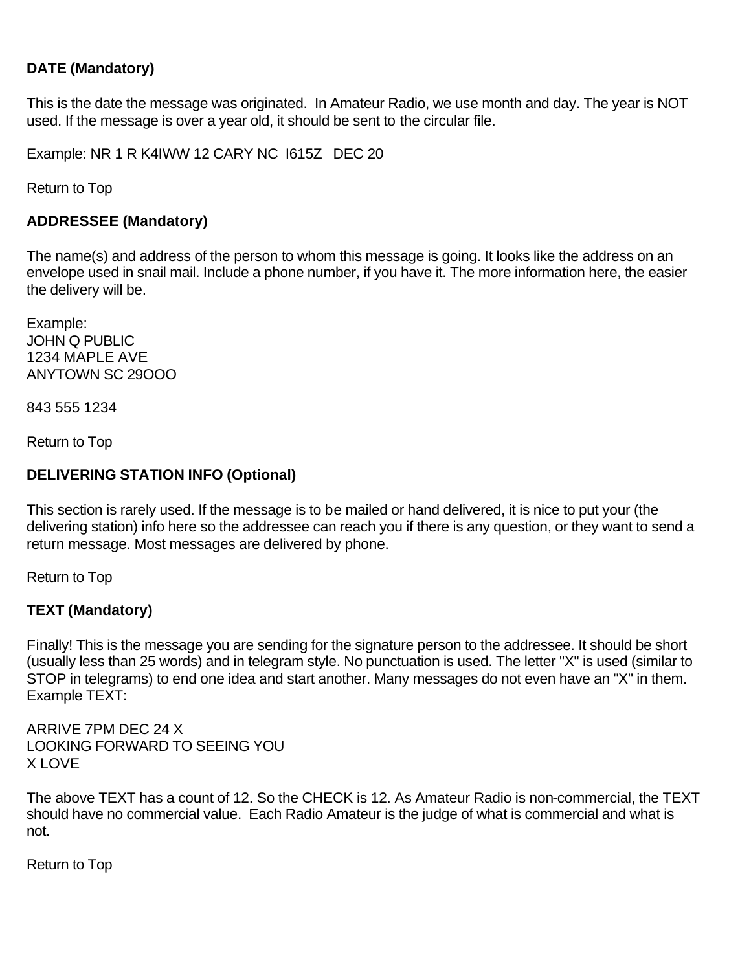# <span id="page-3-0"></span>**DATE (Mandatory)**

This is the date the message was originated. In Amateur Radio, we use month and day. The year is NOT used. If the message is over a year old, it should be sent to the circular file.

Example: NR 1 R K4IWW 12 CARY NC I615Z DEC 20

[Return to Top](#page-0-0)

### **ADDRESSEE (Mandatory)**

The name(s) and address of the person to whom this message is going. It looks like the address on an envelope used in snail mail. Include a phone number, if you have it. The more information here, the easier the delivery will be.

Example: JOHN Q PUBLIC 1234 MAPLE AVE ANYTOWN SC 29OOO

843 555 1234

[Return to Top](#page-0-0)

### **DELIVERING STATION INFO (Optional)**

This section is rarely used. If the message is to be mailed or hand delivered, it is nice to put your (the delivering station) info here so the addressee can reach you if there is any question, or they want to send a return message. Most messages are delivered by phone.

[Return to Top](#page-0-0)

# **TEXT (Mandatory)**

Finally! This is the message you are sending for the signature person to the addressee. It should be short (usually less than 25 words) and in telegram style. No punctuation is used. The letter "X" is used (similar to STOP in telegrams) to end one idea and start another. Many messages do not even have an "X" in them. Example TEXT:

ARRIVE 7PM DEC 24 X LOOKING FORWARD TO SEEING YOU X LOVE

The above TEXT has a count of 12. So the CHECK is 12. As Amateur Radio is non-commercial, the TEXT should have no commercial value. Each Radio Amateur is the judge of what is commercial and what is not.

[Return to Top](#page-0-0)